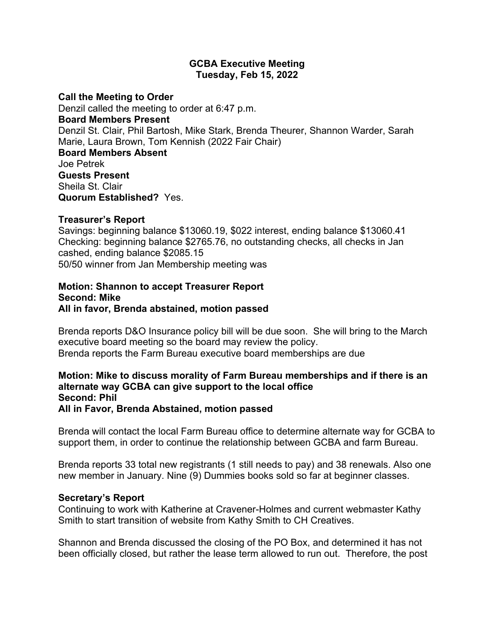### **GCBA Executive Meeting Tuesday, Feb 15, 2022**

#### **Call the Meeting to Order**

Denzil called the meeting to order at 6:47 p.m. **Board Members Present** Denzil St. Clair, Phil Bartosh, Mike Stark, Brenda Theurer, Shannon Warder, Sarah Marie, Laura Brown, Tom Kennish (2022 Fair Chair) **Board Members Absent** Joe Petrek **Guests Present** Sheila St. Clair **Quorum Established?** Yes.

### **Treasurer's Report**

Savings: beginning balance \$13060.19, \$022 interest, ending balance \$13060.41 Checking: beginning balance \$2765.76, no outstanding checks, all checks in Jan cashed, ending balance \$2085.15 50/50 winner from Jan Membership meeting was

### **Motion: Shannon to accept Treasurer Report Second: Mike All in favor, Brenda abstained, motion passed**

Brenda reports D&O Insurance policy bill will be due soon. She will bring to the March executive board meeting so the board may review the policy. Brenda reports the Farm Bureau executive board memberships are due

## **Motion: Mike to discuss morality of Farm Bureau memberships and if there is an alternate way GCBA can give support to the local office Second: Phil All in Favor, Brenda Abstained, motion passed**

Brenda will contact the local Farm Bureau office to determine alternate way for GCBA to support them, in order to continue the relationship between GCBA and farm Bureau.

Brenda reports 33 total new registrants (1 still needs to pay) and 38 renewals. Also one new member in January. Nine (9) Dummies books sold so far at beginner classes.

### **Secretary's Report**

Continuing to work with Katherine at Cravener-Holmes and current webmaster Kathy Smith to start transition of website from Kathy Smith to CH Creatives.

Shannon and Brenda discussed the closing of the PO Box, and determined it has not been officially closed, but rather the lease term allowed to run out. Therefore, the post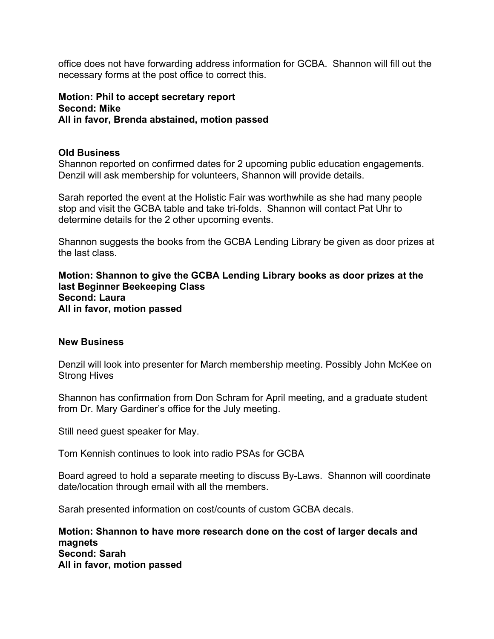office does not have forwarding address information for GCBA. Shannon will fill out the necessary forms at the post office to correct this.

# **Motion: Phil to accept secretary report Second: Mike All in favor, Brenda abstained, motion passed**

# **Old Business**

Shannon reported on confirmed dates for 2 upcoming public education engagements. Denzil will ask membership for volunteers, Shannon will provide details.

Sarah reported the event at the Holistic Fair was worthwhile as she had many people stop and visit the GCBA table and take tri-folds. Shannon will contact Pat Uhr to determine details for the 2 other upcoming events.

Shannon suggests the books from the GCBA Lending Library be given as door prizes at the last class.

**Motion: Shannon to give the GCBA Lending Library books as door prizes at the last Beginner Beekeeping Class Second: Laura All in favor, motion passed**

### **New Business**

Denzil will look into presenter for March membership meeting. Possibly John McKee on Strong Hives

Shannon has confirmation from Don Schram for April meeting, and a graduate student from Dr. Mary Gardiner's office for the July meeting.

Still need guest speaker for May.

Tom Kennish continues to look into radio PSAs for GCBA

Board agreed to hold a separate meeting to discuss By-Laws. Shannon will coordinate date/location through email with all the members.

Sarah presented information on cost/counts of custom GCBA decals.

**Motion: Shannon to have more research done on the cost of larger decals and magnets Second: Sarah All in favor, motion passed**